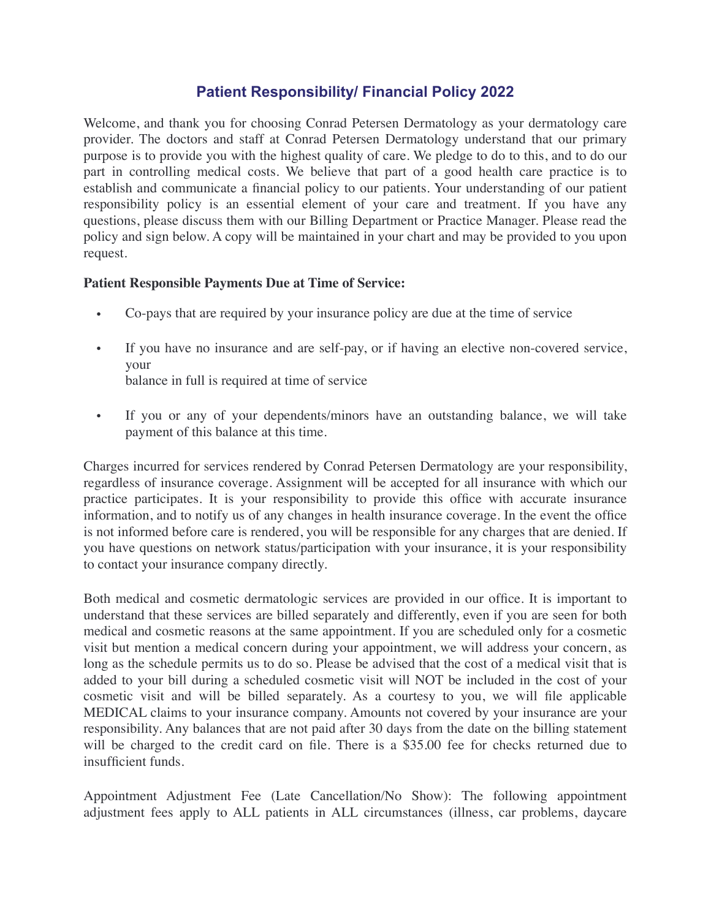## **Patient Responsibility/ Financial Policy 2022**

Welcome, and thank you for choosing Conrad Petersen Dermatology as your dermatology care provider. The doctors and staff at Conrad Petersen Dermatology understand that our primary purpose is to provide you with the highest quality of care. We pledge to do to this, and to do our part in controlling medical costs. We believe that part of a good health care practice is to establish and communicate a financial policy to our patients. Your understanding of our patient responsibility policy is an essential element of your care and treatment. If you have any questions, please discuss them with our Billing Department or Practice Manager. Please read the policy and sign below. A copy will be maintained in your chart and may be provided to you upon request.

## **Patient Responsible Payments Due at Time of Service:**

- Co-pays that are required by your insurance policy are due at the time of service
- If you have no insurance and are self-pay, or if having an elective non-covered service, your balance in full is required at time of service
- If you or any of your dependents/minors have an outstanding balance, we will take payment of this balance at this time.

Charges incurred for services rendered by Conrad Petersen Dermatology are your responsibility, regardless of insurance coverage. Assignment will be accepted for all insurance with which our practice participates. It is your responsibility to provide this office with accurate insurance information, and to notify us of any changes in health insurance coverage. In the event the office is not informed before care is rendered, you will be responsible for any charges that are denied. If you have questions on network status/participation with your insurance, it is your responsibility to contact your insurance company directly.

Both medical and cosmetic dermatologic services are provided in our office. It is important to understand that these services are billed separately and differently, even if you are seen for both medical and cosmetic reasons at the same appointment. If you are scheduled only for a cosmetic visit but mention a medical concern during your appointment, we will address your concern, as long as the schedule permits us to do so. Please be advised that the cost of a medical visit that is added to your bill during a scheduled cosmetic visit will NOT be included in the cost of your cosmetic visit and will be billed separately. As a courtesy to you, we will file applicable MEDICAL claims to your insurance company. Amounts not covered by your insurance are your responsibility. Any balances that are not paid after 30 days from the date on the billing statement will be charged to the credit card on file. There is a \$35.00 fee for checks returned due to insufficient funds.

Appointment Adjustment Fee (Late Cancellation/No Show): The following appointment adjustment fees apply to ALL patients in ALL circumstances (illness, car problems, daycare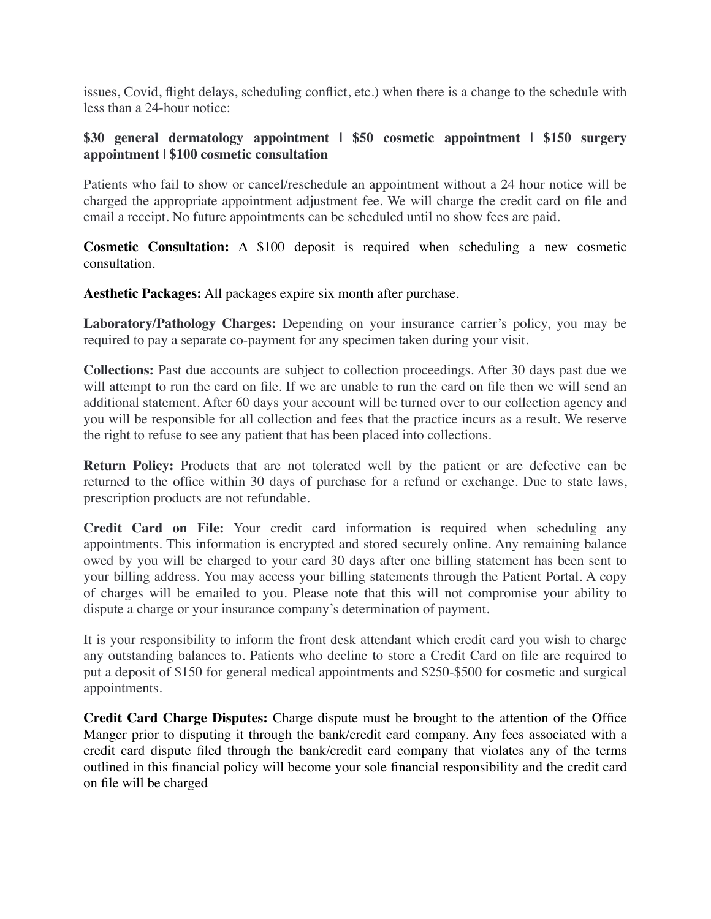issues, Covid, flight delays, scheduling conflict, etc.) when there is a change to the schedule with less than a 24-hour notice:

## **\$30 general dermatology appointment | \$50 cosmetic appointment | \$150 surgery appointment | \$100 cosmetic consultation**

Patients who fail to show or cancel/reschedule an appointment without a 24 hour notice will be charged the appropriate appointment adjustment fee. We will charge the credit card on file and email a receipt. No future appointments can be scheduled until no show fees are paid.

**Cosmetic Consultation:** A \$100 deposit is required when scheduling a new cosmetic consultation.

**Aesthetic Packages:** All packages expire six month after purchase.

**Laboratory/Pathology Charges:** Depending on your insurance carrier's policy, you may be required to pay a separate co-payment for any specimen taken during your visit.

**Collections:** Past due accounts are subject to collection proceedings. After 30 days past due we will attempt to run the card on file. If we are unable to run the card on file then we will send an additional statement. After 60 days your account will be turned over to our collection agency and you will be responsible for all collection and fees that the practice incurs as a result. We reserve the right to refuse to see any patient that has been placed into collections.

**Return Policy:** Products that are not tolerated well by the patient or are defective can be returned to the office within 30 days of purchase for a refund or exchange. Due to state laws, prescription products are not refundable.

**Credit Card on File:** Your credit card information is required when scheduling any appointments. This information is encrypted and stored securely online. Any remaining balance owed by you will be charged to your card 30 days after one billing statement has been sent to your billing address. You may access your billing statements through the Patient Portal. A copy of charges will be emailed to you. Please note that this will not compromise your ability to dispute a charge or your insurance company's determination of payment.

It is your responsibility to inform the front desk attendant which credit card you wish to charge any outstanding balances to. Patients who decline to store a Credit Card on file are required to put a deposit of \$150 for general medical appointments and \$250-\$500 for cosmetic and surgical appointments.

**Credit Card Charge Disputes:** Charge dispute must be brought to the attention of the Office Manger prior to disputing it through the bank/credit card company. Any fees associated with a credit card dispute filed through the bank/credit card company that violates any of the terms outlined in this financial policy will become your sole financial responsibility and the credit card on file will be charged